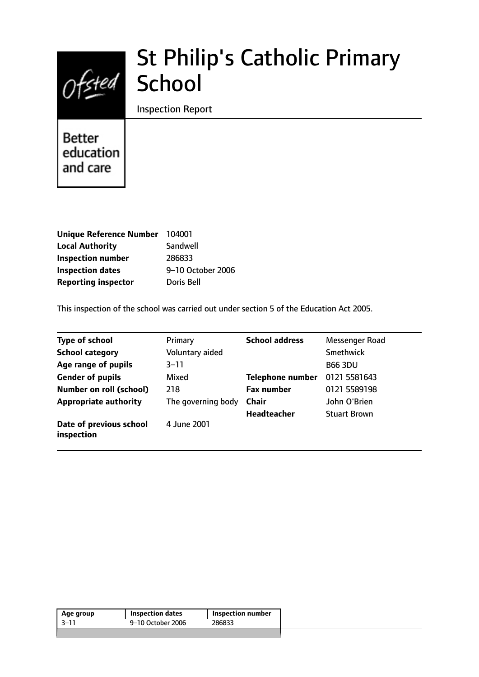

# St Philip's Catholic Primary School

Inspection Report

**Better** education and care

| Unique Reference Number 104001 |                   |
|--------------------------------|-------------------|
| <b>Local Authority</b>         | Sandwell          |
| <b>Inspection number</b>       | 286833            |
| <b>Inspection dates</b>        | 9-10 October 2006 |
| <b>Reporting inspector</b>     | Doris Bell        |

This inspection of the school was carried out under section 5 of the Education Act 2005.

| <b>Type of school</b>                 | Primary            | <b>School address</b>   | Messenger Road      |
|---------------------------------------|--------------------|-------------------------|---------------------|
| <b>School category</b>                | Voluntary aided    |                         | Smethwick           |
| Age range of pupils                   | $3 - 11$           |                         | <b>B66 3DU</b>      |
| <b>Gender of pupils</b>               | Mixed              | <b>Telephone number</b> | 0121 5581643        |
| <b>Number on roll (school)</b>        | 218                | <b>Fax number</b>       | 0121 5589198        |
| <b>Appropriate authority</b>          | The governing body | <b>Chair</b>            | John O'Brien        |
|                                       |                    | <b>Headteacher</b>      | <b>Stuart Brown</b> |
| Date of previous school<br>inspection | 4 June 2001        |                         |                     |

| 3–11 | 9-10 October 2006 | 286833 |
|------|-------------------|--------|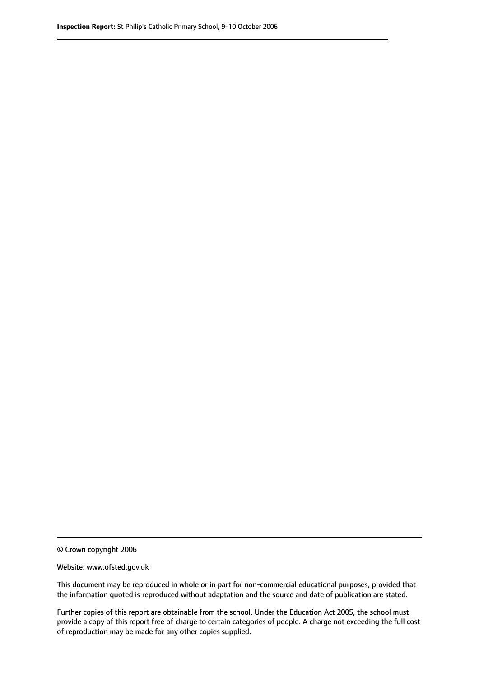© Crown copyright 2006

Website: www.ofsted.gov.uk

This document may be reproduced in whole or in part for non-commercial educational purposes, provided that the information quoted is reproduced without adaptation and the source and date of publication are stated.

Further copies of this report are obtainable from the school. Under the Education Act 2005, the school must provide a copy of this report free of charge to certain categories of people. A charge not exceeding the full cost of reproduction may be made for any other copies supplied.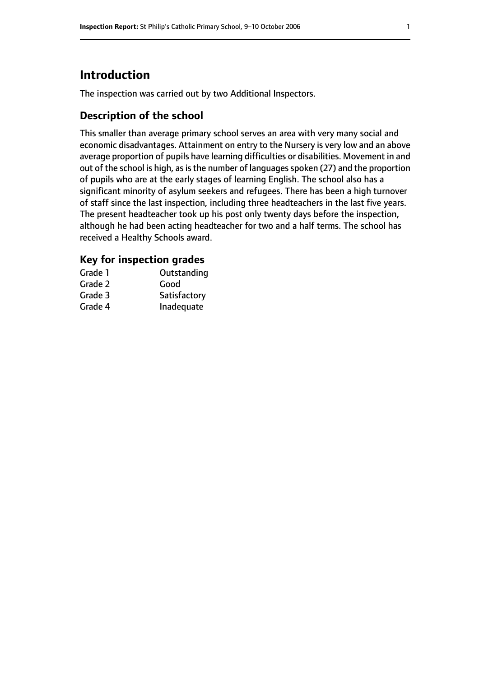# **Introduction**

The inspection was carried out by two Additional Inspectors.

# **Description of the school**

This smaller than average primary school serves an area with very many social and economic disadvantages. Attainment on entry to the Nursery is very low and an above average proportion of pupils have learning difficulties or disabilities. Movement in and out of the school is high, as is the number of languages spoken (27) and the proportion of pupils who are at the early stages of learning English. The school also has a significant minority of asylum seekers and refugees. There has been a high turnover of staff since the last inspection, including three headteachers in the last five years. The present headteacher took up his post only twenty days before the inspection, although he had been acting headteacher for two and a half terms. The school has received a Healthy Schools award.

### **Key for inspection grades**

| Grade 1 | Outstanding  |
|---------|--------------|
| Grade 2 | Good         |
| Grade 3 | Satisfactory |
| Grade 4 | Inadequate   |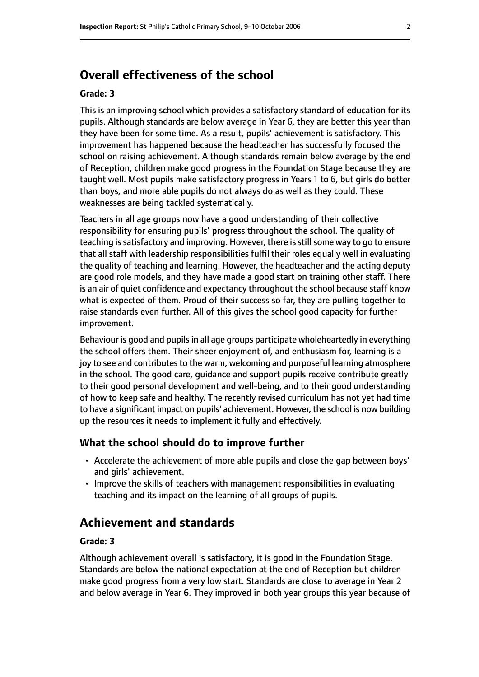# **Overall effectiveness of the school**

#### **Grade: 3**

This is an improving school which provides a satisfactory standard of education for its pupils. Although standards are below average in Year 6, they are better this year than they have been for some time. As a result, pupils' achievement is satisfactory. This improvement has happened because the headteacher has successfully focused the school on raising achievement. Although standards remain below average by the end of Reception, children make good progress in the Foundation Stage because they are taught well. Most pupils make satisfactory progress in Years 1 to 6, but girls do better than boys, and more able pupils do not always do as well as they could. These weaknesses are being tackled systematically.

Teachers in all age groups now have a good understanding of their collective responsibility for ensuring pupils' progress throughout the school. The quality of teaching is satisfactory and improving. However, there is still some way to go to ensure that all staff with leadership responsibilities fulfil their roles equally well in evaluating the quality of teaching and learning. However, the headteacher and the acting deputy are good role models, and they have made a good start on training other staff. There is an air of quiet confidence and expectancy throughout the school because staff know what is expected of them. Proud of their success so far, they are pulling together to raise standards even further. All of this gives the school good capacity for further improvement.

Behaviour is good and pupils in all age groups participate wholeheartedly in everything the school offers them. Their sheer enjoyment of, and enthusiasm for, learning is a joy to see and contributes to the warm, welcoming and purposeful learning atmosphere in the school. The good care, guidance and support pupils receive contribute greatly to their good personal development and well-being, and to their good understanding of how to keep safe and healthy. The recently revised curriculum has not yet had time to have a significant impact on pupils' achievement. However, the school is now building up the resources it needs to implement it fully and effectively.

#### **What the school should do to improve further**

- Accelerate the achievement of more able pupils and close the gap between boys' and girls' achievement.
- Improve the skills of teachers with management responsibilities in evaluating teaching and its impact on the learning of all groups of pupils.

# **Achievement and standards**

#### **Grade: 3**

Although achievement overall is satisfactory, it is good in the Foundation Stage. Standards are below the national expectation at the end of Reception but children make good progress from a very low start. Standards are close to average in Year 2 and below average in Year 6. They improved in both year groups this year because of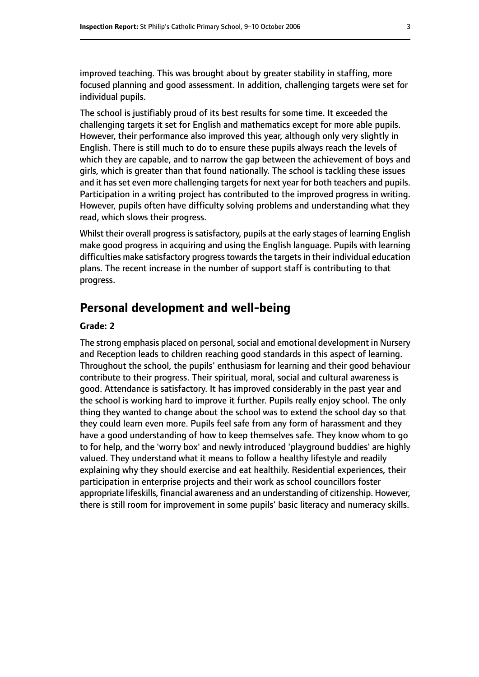improved teaching. This was brought about by greater stability in staffing, more focused planning and good assessment. In addition, challenging targets were set for individual pupils.

The school is justifiably proud of its best results for some time. It exceeded the challenging targets it set for English and mathematics except for more able pupils. However, their performance also improved this year, although only very slightly in English. There is still much to do to ensure these pupils always reach the levels of which they are capable, and to narrow the gap between the achievement of boys and girls, which is greater than that found nationally. The school is tackling these issues and it has set even more challenging targets for next year for both teachers and pupils. Participation in a writing project has contributed to the improved progress in writing. However, pupils often have difficulty solving problems and understanding what they read, which slows their progress.

Whilst their overall progress is satisfactory, pupils at the early stages of learning English make good progress in acquiring and using the English language. Pupils with learning difficulties make satisfactory progress towards the targets in their individual education plans. The recent increase in the number of support staff is contributing to that progress.

## **Personal development and well-being**

#### **Grade: 2**

The strong emphasis placed on personal, social and emotional development in Nursery and Reception leads to children reaching good standards in this aspect of learning. Throughout the school, the pupils' enthusiasm for learning and their good behaviour contribute to their progress. Their spiritual, moral, social and cultural awareness is good. Attendance is satisfactory. It has improved considerably in the past year and the school is working hard to improve it further. Pupils really enjoy school. The only thing they wanted to change about the school was to extend the school day so that they could learn even more. Pupils feel safe from any form of harassment and they have a good understanding of how to keep themselves safe. They know whom to go to for help, and the 'worry box' and newly introduced 'playground buddies' are highly valued. They understand what it means to follow a healthy lifestyle and readily explaining why they should exercise and eat healthily. Residential experiences, their participation in enterprise projects and their work as school councillors foster appropriate lifeskills, financial awareness and an understanding of citizenship. However, there is still room for improvement in some pupils' basic literacy and numeracy skills.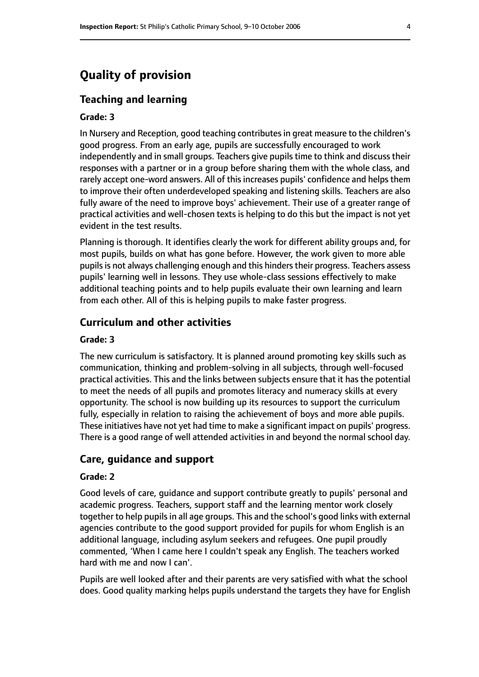# **Quality of provision**

#### **Teaching and learning**

#### **Grade: 3**

In Nursery and Reception, good teaching contributes in great measure to the children's good progress. From an early age, pupils are successfully encouraged to work independently and in small groups. Teachers give pupils time to think and discuss their responses with a partner or in a group before sharing them with the whole class, and rarely accept one-word answers. All of this increases pupils' confidence and helps them to improve their often underdeveloped speaking and listening skills. Teachers are also fully aware of the need to improve boys' achievement. Their use of a greater range of practical activities and well-chosen texts is helping to do this but the impact is not yet evident in the test results.

Planning is thorough. It identifies clearly the work for different ability groups and, for most pupils, builds on what has gone before. However, the work given to more able pupils is not always challenging enough and this hinders their progress. Teachers assess pupils' learning well in lessons. They use whole-class sessions effectively to make additional teaching points and to help pupils evaluate their own learning and learn from each other. All of this is helping pupils to make faster progress.

#### **Curriculum and other activities**

#### **Grade: 3**

The new curriculum is satisfactory. It is planned around promoting key skills such as communication, thinking and problem-solving in all subjects, through well-focused practical activities. This and the links between subjects ensure that it has the potential to meet the needs of all pupils and promotes literacy and numeracy skills at every opportunity. The school is now building up its resources to support the curriculum fully, especially in relation to raising the achievement of boys and more able pupils. These initiatives have not yet had time to make a significant impact on pupils' progress. There is a good range of well attended activities in and beyond the normal school day.

#### **Care, guidance and support**

#### **Grade: 2**

Good levels of care, guidance and support contribute greatly to pupils' personal and academic progress. Teachers, support staff and the learning mentor work closely together to help pupils in all age groups. This and the school's good links with external agencies contribute to the good support provided for pupils for whom English is an additional language, including asylum seekers and refugees. One pupil proudly commented, 'When I came here I couldn't speak any English. The teachers worked hard with me and now I can'.

Pupils are well looked after and their parents are very satisfied with what the school does. Good quality marking helps pupils understand the targets they have for English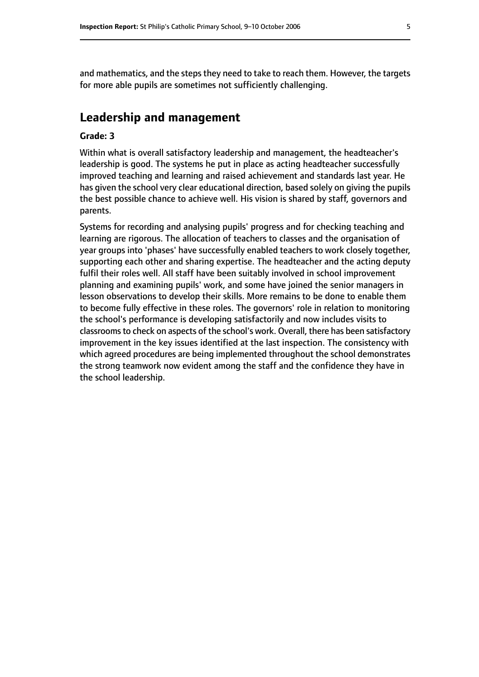and mathematics, and the steps they need to take to reach them. However, the targets for more able pupils are sometimes not sufficiently challenging.

## **Leadership and management**

#### **Grade: 3**

Within what is overall satisfactory leadership and management, the headteacher's leadership is good. The systems he put in place as acting headteacher successfully improved teaching and learning and raised achievement and standards last year. He has given the school very clear educational direction, based solely on giving the pupils the best possible chance to achieve well. His vision is shared by staff, governors and parents.

Systems for recording and analysing pupils' progress and for checking teaching and learning are rigorous. The allocation of teachers to classes and the organisation of year groups into 'phases' have successfully enabled teachers to work closely together, supporting each other and sharing expertise. The headteacher and the acting deputy fulfil their roles well. All staff have been suitably involved in school improvement planning and examining pupils' work, and some have joined the senior managers in lesson observations to develop their skills. More remains to be done to enable them to become fully effective in these roles. The governors' role in relation to monitoring the school's performance is developing satisfactorily and now includes visits to classroomsto check on aspects of the school's work. Overall, there has been satisfactory improvement in the key issues identified at the last inspection. The consistency with which agreed procedures are being implemented throughout the school demonstrates the strong teamwork now evident among the staff and the confidence they have in the school leadership.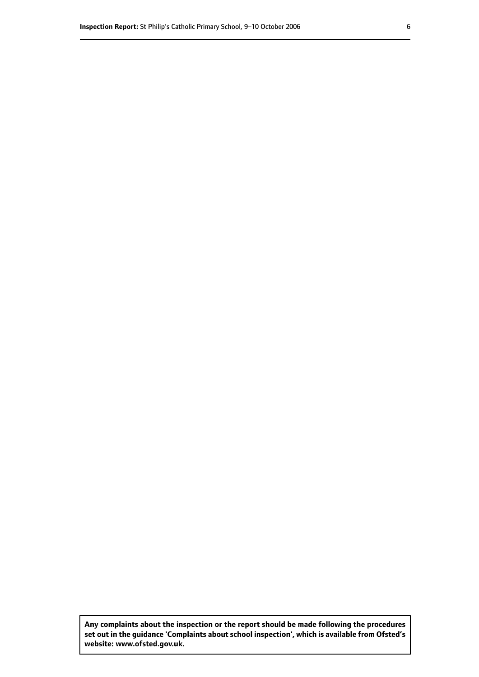**Any complaints about the inspection or the report should be made following the procedures set out inthe guidance 'Complaints about school inspection', whichis available from Ofsted's website: www.ofsted.gov.uk.**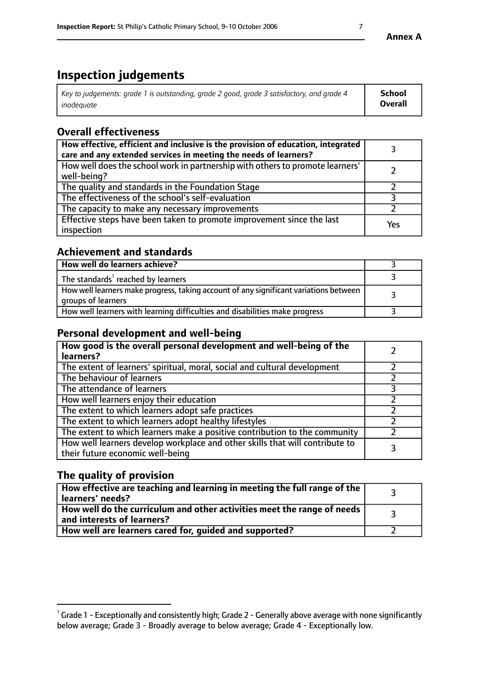# **Inspection judgements**

| Key to judgements: grade 1 is outstanding, grade 2 good, grade 3 satisfactory, and grade 4 | <b>School</b>  |
|--------------------------------------------------------------------------------------------|----------------|
| inadeauate                                                                                 | <b>Overall</b> |

# **Overall effectiveness**

| How effective, efficient and inclusive is the provision of education, integrated<br>care and any extended services in meeting the needs of learners? |     |
|------------------------------------------------------------------------------------------------------------------------------------------------------|-----|
| How well does the school work in partnership with others to promote learners'<br>well-being?                                                         |     |
| The quality and standards in the Foundation Stage                                                                                                    |     |
| The effectiveness of the school's self-evaluation                                                                                                    |     |
| The capacity to make any necessary improvements                                                                                                      |     |
| Effective steps have been taken to promote improvement since the last<br>inspection                                                                  | Yes |

## **Achievement and standards**

| How well do learners achieve?                                                                               |  |
|-------------------------------------------------------------------------------------------------------------|--|
| The standards <sup>1</sup> reached by learners                                                              |  |
| How well learners make progress, taking account of any significant variations between<br>groups of learners |  |
| How well learners with learning difficulties and disabilities make progress                                 |  |

## **Personal development and well-being**

| How good is the overall personal development and well-being of the<br>learners?                                  |  |
|------------------------------------------------------------------------------------------------------------------|--|
| The extent of learners' spiritual, moral, social and cultural development                                        |  |
| The behaviour of learners                                                                                        |  |
| The attendance of learners                                                                                       |  |
| How well learners enjoy their education                                                                          |  |
| The extent to which learners adopt safe practices                                                                |  |
| The extent to which learners adopt healthy lifestyles                                                            |  |
| The extent to which learners make a positive contribution to the community                                       |  |
| How well learners develop workplace and other skills that will contribute to<br>their future economic well-being |  |

# **The quality of provision**

| How effective are teaching and learning in meeting the full range of the<br>  learners' needs?               |  |
|--------------------------------------------------------------------------------------------------------------|--|
| How well do the curriculum and other activities meet the range of needs<br>$\mid$ and interests of learners? |  |
| How well are learners cared for, quided and supported?                                                       |  |

 $^1$  Grade 1 - Exceptionally and consistently high; Grade 2 - Generally above average with none significantly below average; Grade 3 - Broadly average to below average; Grade 4 - Exceptionally low.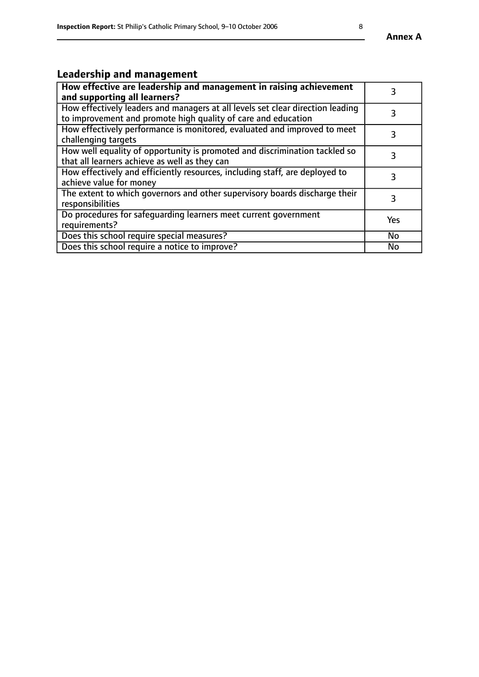# **Leadership and management**

| How effective are leadership and management in raising achievement<br>and supporting all learners?                                              |           |
|-------------------------------------------------------------------------------------------------------------------------------------------------|-----------|
| How effectively leaders and managers at all levels set clear direction leading<br>to improvement and promote high quality of care and education |           |
| How effectively performance is monitored, evaluated and improved to meet<br>challenging targets                                                 | 3         |
| How well equality of opportunity is promoted and discrimination tackled so<br>that all learners achieve as well as they can                     |           |
| How effectively and efficiently resources, including staff, are deployed to<br>achieve value for money                                          | 3         |
| The extent to which governors and other supervisory boards discharge their<br>responsibilities                                                  | 3         |
| Do procedures for safequarding learners meet current government<br>requirements?                                                                | Yes       |
| Does this school require special measures?                                                                                                      | No        |
| Does this school require a notice to improve?                                                                                                   | <b>No</b> |